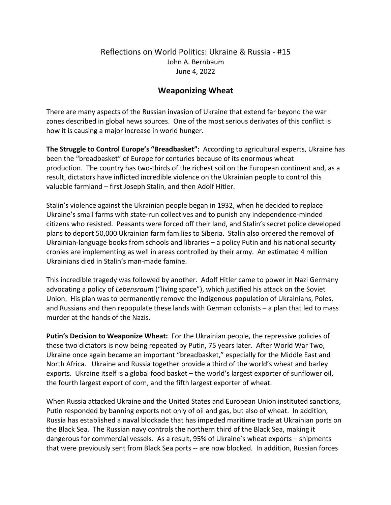## Reflections on World Politics: Ukraine & Russia - #15 John A. Bernbaum June 4, 2022

## **Weaponizing Wheat**

There are many aspects of the Russian invasion of Ukraine that extend far beyond the war zones described in global news sources. One of the most serious derivates of this conflict is how it is causing a major increase in world hunger.

**The Struggle to Control Europe's "Breadbasket":** According to agricultural experts, Ukraine has been the "breadbasket" of Europe for centuries because of its enormous wheat production. The country has two-thirds of the richest soil on the European continent and, as a result, dictators have inflicted incredible violence on the Ukrainian people to control this valuable farmland – first Joseph Stalin, and then Adolf Hitler.

Stalin's violence against the Ukrainian people began in 1932, when he decided to replace Ukraine's small farms with state-run collectives and to punish any independence-minded citizens who resisted. Peasants were forced off their land, and Stalin's secret police developed plans to deport 50,000 Ukrainian farm families to Siberia. Stalin also ordered the removal of Ukrainian-language books from schools and libraries – a policy Putin and his national security cronies are implementing as well in areas controlled by their army. An estimated 4 million Ukrainians died in Stalin's man-made famine.

This incredible tragedy was followed by another. Adolf Hitler came to power in Nazi Germany advocating a policy of *Lebensraum* ("living space"), which justified his attack on the Soviet Union. His plan was to permanently remove the indigenous population of Ukrainians, Poles, and Russians and then repopulate these lands with German colonists – a plan that led to mass murder at the hands of the Nazis.

**Putin's Decision to Weaponize Wheat:** For the Ukrainian people, the repressive policies of these two dictators is now being repeated by Putin, 75 years later. After World War Two, Ukraine once again became an important "breadbasket," especially for the Middle East and North Africa. Ukraine and Russia together provide a third of the world's wheat and barley exports. Ukraine itself is a global food basket – the world's largest exporter of sunflower oil, the fourth largest export of corn, and the fifth largest exporter of wheat.

When Russia attacked Ukraine and the United States and European Union instituted sanctions, Putin responded by banning exports not only of oil and gas, but also of wheat. In addition, Russia has established a naval blockade that has impeded maritime trade at Ukrainian ports on the Black Sea. The Russian navy controls the northern third of the Black Sea, making it dangerous for commercial vessels. As a result, 95% of Ukraine's wheat exports – shipments that were previously sent from Black Sea ports -- are now blocked. In addition, Russian forces